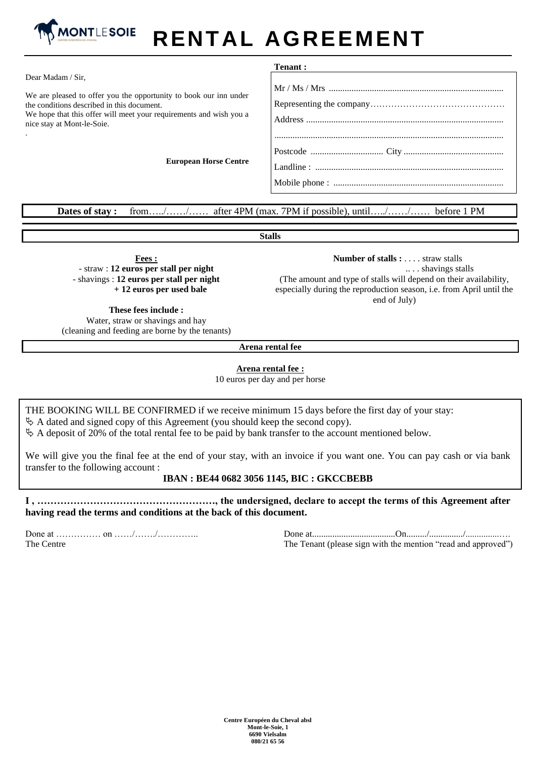

## **RENTAL AGREEMENT**

|                                                                                                                                                                                                                     | <b>Tenant :</b> |
|---------------------------------------------------------------------------------------------------------------------------------------------------------------------------------------------------------------------|-----------------|
| Dear Madam / Sir,                                                                                                                                                                                                   |                 |
| We are pleased to offer you the opportunity to book our inn under<br>the conditions described in this document.<br>We hope that this offer will meet your requirements and wish you a<br>nice stay at Mont-le-Soie. |                 |
| <b>European Horse Centre</b>                                                                                                                                                                                        |                 |

**Dates of stay :** from…../……/…… after 4PM (max. 7PM if possible), until…../……/…… before 1 PM

**Stalls**

**Fees :** - straw : **12 euros per stall per night** - shavings : **12 euros per stall per night + 12 euros per used bale**

 **Number of stalls :** . . . . straw stalls .. . . shavings stalls (The amount and type of stalls will depend on their availability, especially during the reproduction season, i.e. from April until the end of July)

**These fees include :** Water, straw or shavings and hay (cleaning and feeding are borne by the tenants)

**Arena rental fee**

## **Arena rental fee :**

10 euros per day and per horse

THE BOOKING WILL BE CONFIRMED if we receive minimum 15 days before the first day of your stay:

 $\&$  A dated and signed copy of this Agreement (you should keep the second copy).

 $\&$  A deposit of 20% of the total rental fee to be paid by bank transfer to the account mentioned below.

We will give you the final fee at the end of your stay, with an invoice if you want one. You can pay cash or via bank transfer to the following account :

## **IBAN : BE44 0682 3056 1145, BIC : GKCCBEBB**

**I , ………………………………………………, the undersigned, declare to accept the terms of this Agreement after having read the terms and conditions at the back of this document.** 

Done at …………… on ……/……./………….. The Centre

Done at.....................................On........./.............../...............….

The Tenant (please sign with the mention "read and approved")